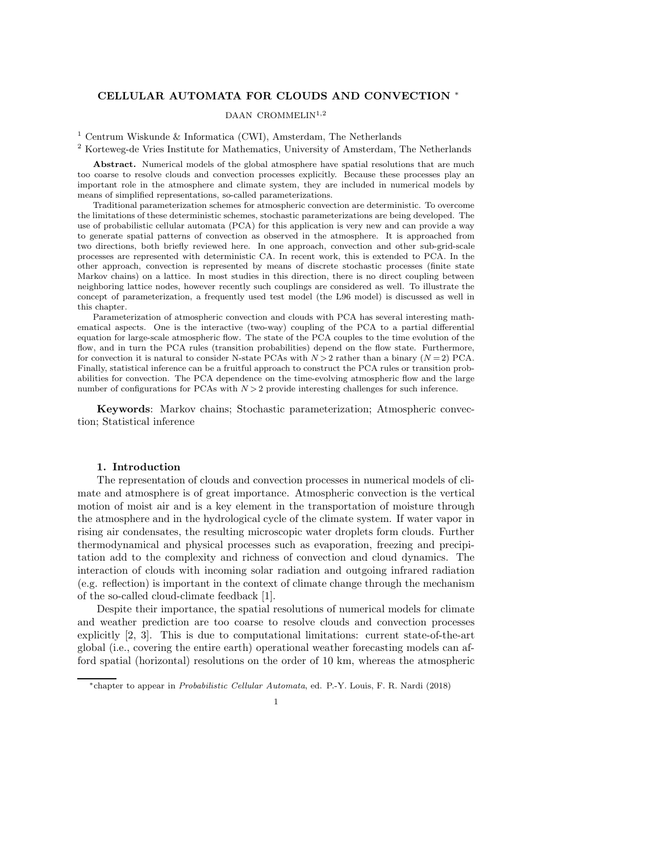# **CELLULAR AUTOMATA FOR CLOUDS AND CONVECTION** ∗

DAAN CROMMELIN1*,*<sup>2</sup>

 $^1$  Centrum Wiskunde  $\&$  Informatica (CWI), Amsterdam, The Netherlands

<sup>2</sup> Korteweg-de Vries Institute for Mathematics, University of Amsterdam, The Netherlands

Abstract. Numerical models of the global atmosphere have spatial resolutions that are much too coarse to resolve clouds and convection processes explicitly. Because these processes play an important role in the atmosphere and climate system, they are included in numerical models by means of simplified representations, so-called parameterizations.

Traditional parameterization schemes for atmospheric convection are deterministic. To overcome the limitations of these deterministic schemes, stochastic parameterizations are being developed. The use of probabilistic cellular automata (PCA) for this application is very new and can provide a way to generate spatial patterns of convection as observed in the atmosphere. It is approached from two directions, both briefly reviewed here. In one approach, convection and other sub-grid-scale processes are represented with deterministic CA. In recent work, this is extended to PCA. In the other approach, convection is represented by means of discrete stochastic processes (finite state Markov chains) on a lattice. In most studies in this direction, there is no direct coupling between neighboring lattice nodes, however recently such couplings are considered as well. To illustrate the concept of parameterization, a frequently used test model (the L96 model) is discussed as well in this chapter.

Parameterization of atmospheric convection and clouds with PCA has several interesting mathematical aspects. One is the interactive (two-way) coupling of the PCA to a partial differential equation for large-scale atmospheric flow. The state of the PCA couples to the time evolution of the flow, and in turn the PCA rules (transition probabilities) depend on the flow state. Furthermore, for convection it is natural to consider N-state PCAs with  $N > 2$  rather than a binary  $(N = 2)$  PCA. Finally, statistical inference can be a fruitful approach to construct the PCA rules or transition probabilities for convection. The PCA dependence on the time-evolving atmospheric flow and the large number of configurations for PCAs with  $N > 2$  provide interesting challenges for such inference.

**Keywords**: Markov chains; Stochastic parameterization; Atmospheric convection; Statistical inference

#### **1. Introduction**

The representation of clouds and convection processes in numerical models of climate and atmosphere is of great importance. Atmospheric convection is the vertical motion of moist air and is a key element in the transportation of moisture through the atmosphere and in the hydrological cycle of the climate system. If water vapor in rising air condensates, the resulting microscopic water droplets form clouds. Further thermodynamical and physical processes such as evaporation, freezing and precipitation add to the complexity and richness of convection and cloud dynamics. The interaction of clouds with incoming solar radiation and outgoing infrared radiation (e.g. reflection) is important in the context of climate change through the mechanism of the so-called cloud-climate feedback [1].

Despite their importance, the spatial resolutions of numerical models for climate and weather prediction are too coarse to resolve clouds and convection processes explicitly [2, 3]. This is due to computational limitations: current state-of-the-art global (i.e., covering the entire earth) operational weather forecasting models can afford spatial (horizontal) resolutions on the order of 10 km, whereas the atmospheric

<sup>∗</sup>chapter to appear in *Probabilistic Cellular Automata*, ed. P.-Y. Louis, F. R. Nardi (2018)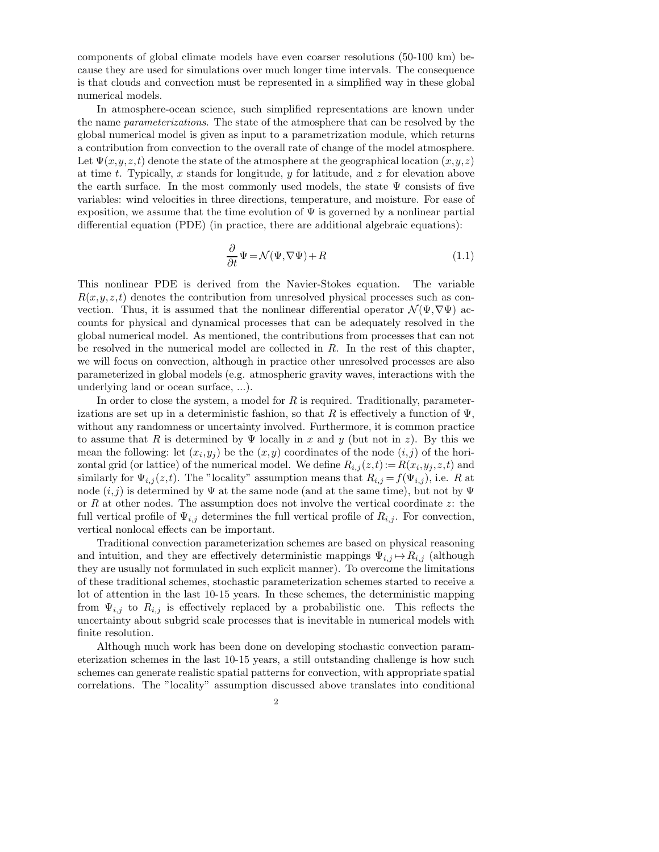components of global climate models have even coarser resolutions (50-100 km) because they are used for simulations over much longer time intervals. The consequence is that clouds and convection must be represented in a simplified way in these global numerical models.

In atmosphere-ocean science, such simplified representations are known under the name *parameterizations*. The state of the atmosphere that can be resolved by the global numerical model is given as input to a parametrization module, which returns a contribution from convection to the overall rate of change of the model atmosphere. Let  $\Psi(x,y,z,t)$  denote the state of the atmosphere at the geographical location  $(x,y,z)$ at time t. Typically, x stands for longitude, y for latitude, and z for elevation above the earth surface. In the most commonly used models, the state  $\Psi$  consists of five variables: wind velocities in three directions, temperature, and moisture. For ease of exposition, we assume that the time evolution of  $\Psi$  is governed by a nonlinear partial differential equation (PDE) (in practice, there are additional algebraic equations):

$$
\frac{\partial}{\partial t} \Psi = \mathcal{N}(\Psi, \nabla \Psi) + R \tag{1.1}
$$

This nonlinear PDE is derived from the Navier-Stokes equation. The variable  $R(x,y,z,t)$  denotes the contribution from unresolved physical processes such as convection. Thus, it is assumed that the nonlinear differential operator  $\mathcal{N}(\Psi,\nabla\Psi)$  accounts for physical and dynamical processes that can be adequately resolved in the global numerical model. As mentioned, the contributions from processes that can not be resolved in the numerical model are collected in R. In the rest of this chapter, we will focus on convection, although in practice other unresolved processes are also parameterized in global models (e.g. atmospheric gravity waves, interactions with the underlying land or ocean surface, ...).

In order to close the system, a model for  $R$  is required. Traditionally, parameterizations are set up in a deterministic fashion, so that R is effectively a function of  $\Psi$ , without any randomness or uncertainty involved. Furthermore, it is common practice to assume that R is determined by  $\Psi$  locally in x and y (but not in z). By this we mean the following: let  $(x_i, y_j)$  be the  $(x, y)$  coordinates of the node  $(i,j)$  of the horizontal grid (or lattice) of the numerical model. We define  $R_{i,j}(z,t) := R(x_i,y_j,z,t)$  and similarly for  $\Psi_{i,j}(z,t)$ . The "locality" assumption means that  $R_{i,j} = f(\Psi_{i,j})$ , i.e. R at node  $(i,j)$  is determined by  $\Psi$  at the same node (and at the same time), but not by  $\Psi$ or R at other nodes. The assumption does not involve the vertical coordinate  $z$ : the full vertical profile of  $\Psi_{i,j}$  determines the full vertical profile of  $R_{i,j}$ . For convection, vertical nonlocal effects can be important.

Traditional convection parameterization schemes are based on physical reasoning and intuition, and they are effectively deterministic mappings  $\Psi_{i,j} \mapsto R_{i,j}$  (although they are usually not formulated in such explicit manner). To overcome the limitations of these traditional schemes, stochastic parameterization schemes started to receive a lot of attention in the last 10-15 years. In these schemes, the deterministic mapping from  $\Psi_{i,j}$  to  $R_{i,j}$  is effectively replaced by a probabilistic one. This reflects the uncertainty about subgrid scale processes that is inevitable in numerical models with finite resolution.

Although much work has been done on developing stochastic convection parameterization schemes in the last 10-15 years, a still outstanding challenge is how such schemes can generate realistic spatial patterns for convection, with appropriate spatial correlations. The "locality" assumption discussed above translates into conditional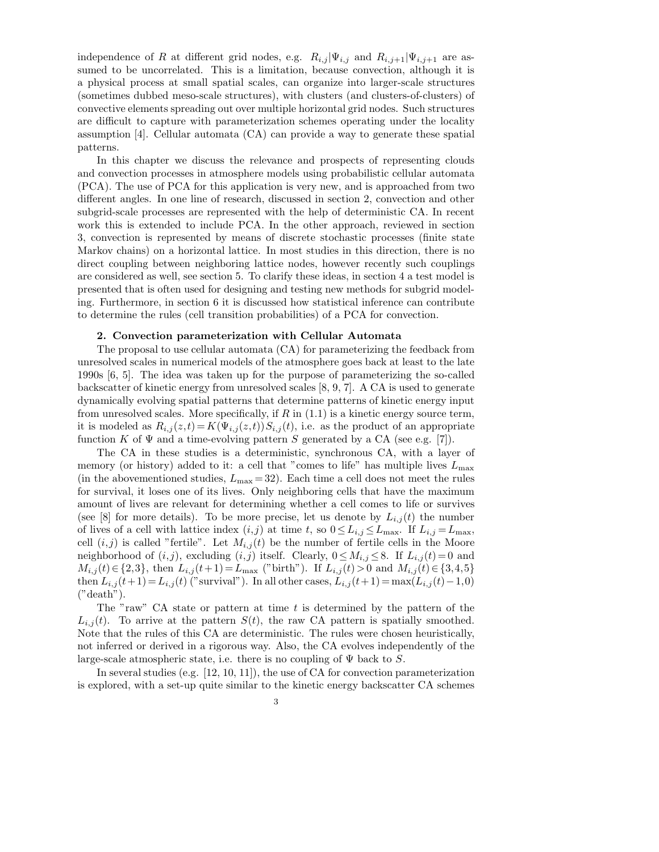independence of R at different grid nodes, e.g.  $R_{i,j}|\Psi_{i,j}$  and  $R_{i,j+1}|\Psi_{i,j+1}$  are assumed to be uncorrelated. This is a limitation, because convection, although it is a physical process at small spatial scales, can organize into larger-scale structures (sometimes dubbed meso-scale structures), with clusters (and clusters-of-clusters) of convective elements spreading out over multiple horizontal grid nodes. Such structures are difficult to capture with parameterization schemes operating under the locality assumption [4]. Cellular automata (CA) can provide a way to generate these spatial patterns.

In this chapter we discuss the relevance and prospects of representing clouds and convection processes in atmosphere models using probabilistic cellular automata (PCA). The use of PCA for this application is very new, and is approached from two different angles. In one line of research, discussed in section 2, convection and other subgrid-scale processes are represented with the help of deterministic CA. In recent work this is extended to include PCA. In the other approach, reviewed in section 3, convection is represented by means of discrete stochastic processes (finite state Markov chains) on a horizontal lattice. In most studies in this direction, there is no direct coupling between neighboring lattice nodes, however recently such couplings are considered as well, see section 5. To clarify these ideas, in section 4 a test model is presented that is often used for designing and testing new methods for subgrid modeling. Furthermore, in section 6 it is discussed how statistical inference can contribute to determine the rules (cell transition probabilities) of a PCA for convection.

### **2. Convection parameterization with Cellular Automata**

The proposal to use cellular automata (CA) for parameterizing the feedback from unresolved scales in numerical models of the atmosphere goes back at least to the late 1990s [6, 5]. The idea was taken up for the purpose of parameterizing the so-called backscatter of kinetic energy from unresolved scales [8, 9, 7]. A CA is used to generate dynamically evolving spatial patterns that determine patterns of kinetic energy input from unresolved scales. More specifically, if  $R$  in  $(1.1)$  is a kinetic energy source term, it is modeled as  $R_{i,j}(z,t) = K(\Psi_{i,j}(z,t))S_{i,j}(t)$ , i.e. as the product of an appropriate function K of  $\Psi$  and a time-evolving pattern S generated by a CA (see e.g. [7]).

The CA in these studies is a deterministic, synchronous CA, with a layer of memory (or history) added to it: a cell that "comes to life" has multiple lives  $L_{\text{max}}$ (in the abovementioned studies,  $L_{\text{max}} = 32$ ). Each time a cell does not meet the rules for survival, it loses one of its lives. Only neighboring cells that have the maximum amount of lives are relevant for determining whether a cell comes to life or survives (see [8] for more details). To be more precise, let us denote by  $L_{i,j}(t)$  the number of lives of a cell with lattice index  $(i,j)$  at time t, so  $0 \le L_{i,j} \le L_{\text{max}}$ . If  $L_{i,j} = L_{\text{max}}$ , cell  $(i,j)$  is called "fertile". Let  $M_{i,j}(t)$  be the number of fertile cells in the Moore neighborhood of  $(i,j)$ , excluding  $(i,j)$  itself. Clearly,  $0 \leq M_{i,j} \leq 8$ . If  $L_{i,j}(t) = 0$  and  $M_{i,j}(t) \in \{2,3\}$ , then  $L_{i,j}(t+1) = L_{\text{max}}$  ("birth"). If  $L_{i,j}(t) > 0$  and  $M_{i,j}(t) \in \{3,4,5\}$ then  $L_{i,j}(t+1) = L_{i,j}(t)$  ("survival"). In all other cases,  $L_{i,j}(t+1) = \max(L_{i,j}(t)-1,0)$ ("death").

The "raw" CA state or pattern at time  $t$  is determined by the pattern of the  $L_{i,j}(t)$ . To arrive at the pattern  $S(t)$ , the raw CA pattern is spatially smoothed. Note that the rules of this CA are deterministic. The rules were chosen heuristically, not inferred or derived in a rigorous way. Also, the CA evolves independently of the large-scale atmospheric state, i.e. there is no coupling of  $\Psi$  back to S.

In several studies (e.g. [12, 10, 11]), the use of CA for convection parameterization is explored, with a set-up quite similar to the kinetic energy backscatter CA schemes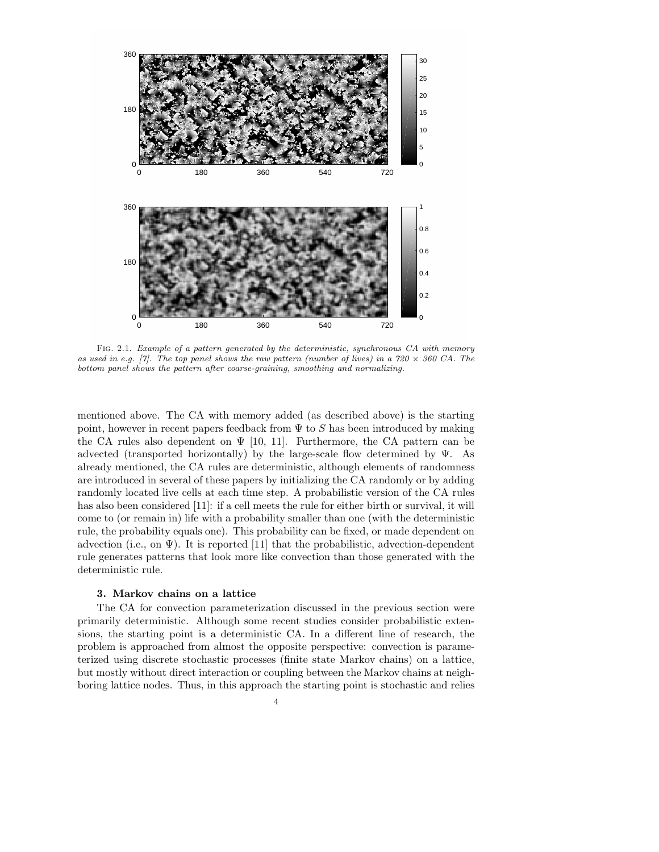

Fig. 2.1. *Example of a pattern generated by the deterministic, synchronous CA with memory as used in e.g. [7]. The top panel shows the raw pattern (number of lives) in a 720 × 360 CA. The bottom panel shows the pattern after coarse-graining, smoothing and normalizing.*

mentioned above. The CA with memory added (as described above) is the starting point, however in recent papers feedback from  $\Psi$  to S has been introduced by making the CA rules also dependent on  $\Psi$  [10, 11]. Furthermore, the CA pattern can be advected (transported horizontally) by the large-scale flow determined by Ψ. As already mentioned, the CA rules are deterministic, although elements of randomness are introduced in several of these papers by initializing the CA randomly or by adding randomly located live cells at each time step. A probabilistic version of the CA rules has also been considered [11]: if a cell meets the rule for either birth or survival, it will come to (or remain in) life with a probability smaller than one (with the deterministic rule, the probability equals one). This probability can be fixed, or made dependent on advection (i.e., on  $\Psi$ ). It is reported [11] that the probabilistic, advection-dependent rule generates patterns that look more like convection than those generated with the deterministic rule.

### **3. Markov chains on a lattice**

The CA for convection parameterization discussed in the previous section were primarily deterministic. Although some recent studies consider probabilistic extensions, the starting point is a deterministic CA. In a different line of research, the problem is approached from almost the opposite perspective: convection is parameterized using discrete stochastic processes (finite state Markov chains) on a lattice, but mostly without direct interaction or coupling between the Markov chains at neighboring lattice nodes. Thus, in this approach the starting point is stochastic and relies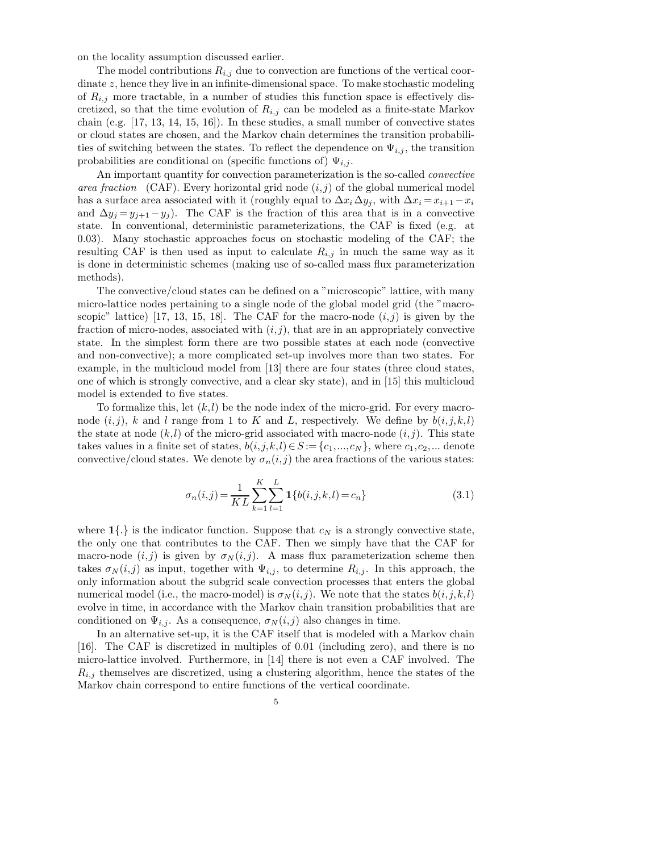on the locality assumption discussed earlier.

The model contributions  $R_{i,j}$  due to convection are functions of the vertical coordinate z, hence they live in an infinite-dimensional space. To make stochastic modeling of  $R_{i,j}$  more tractable, in a number of studies this function space is effectively discretized, so that the time evolution of  $R_{i,j}$  can be modeled as a finite-state Markov chain (e.g. [17, 13, 14, 15, 16]). In these studies, a small number of convective states or cloud states are chosen, and the Markov chain determines the transition probabilities of switching between the states. To reflect the dependence on  $\Psi_{i,j}$ , the transition probabilities are conditional on (specific functions of)  $\Psi_{i,j}$ .

An important quantity for convection parameterization is the so-called *convective area fraction* (CAF). Every horizontal grid node  $(i, j)$  of the global numerical model has a surface area associated with it (roughly equal to  $\Delta x_i \Delta y_j$ , with  $\Delta x_i = x_{i+1} - x_i$ and  $\Delta y_j = y_{j+1} - y_j$ ). The CAF is the fraction of this area that is in a convective state. In conventional, deterministic parameterizations, the CAF is fixed (e.g. at 0.03). Many stochastic approaches focus on stochastic modeling of the CAF; the resulting CAF is then used as input to calculate  $R_{i,j}$  in much the same way as it is done in deterministic schemes (making use of so-called mass flux parameterization methods).

The convective/cloud states can be defined on a "microscopic" lattice, with many micro-lattice nodes pertaining to a single node of the global model grid (the "macroscopic" lattice) [17, 13, 15, 18]. The CAF for the macro-node  $(i,j)$  is given by the fraction of micro-nodes, associated with  $(i,j)$ , that are in an appropriately convective state. In the simplest form there are two possible states at each node (convective and non-convective); a more complicated set-up involves more than two states. For example, in the multicloud model from [13] there are four states (three cloud states, one of which is strongly convective, and a clear sky state), and in [15] this multicloud model is extended to five states.

To formalize this, let  $(k, l)$  be the node index of the micro-grid. For every macronode  $(i,j)$ , k and l range from 1 to K and L, respectively. We define by  $b(i,j,k,l)$ the state at node  $(k,l)$  of the micro-grid associated with macro-node  $(i,j)$ . This state takes values in a finite set of states,  $b(i,j,k,l) \in S := \{c_1,...,c_N\}$ , where  $c_1, c_2,...$  denote convective/cloud states. We denote by  $\sigma_n(i,j)$  the area fractions of the various states:

$$
\sigma_n(i,j) = \frac{1}{KL} \sum_{k=1}^{K} \sum_{l=1}^{L} \mathbf{1} \{b(i,j,k,l) = c_n\}
$$
\n(3.1)

where  $\mathbf{1}\{\cdot\}$  is the indicator function. Suppose that  $c_N$  is a strongly convective state, the only one that contributes to the CAF. Then we simply have that the CAF for macro-node  $(i,j)$  is given by  $\sigma_N(i,j)$ . A mass flux parameterization scheme then takes  $\sigma_N(i,j)$  as input, together with  $\Psi_{i,j}$ , to determine  $R_{i,j}$ . In this approach, the only information about the subgrid scale convection processes that enters the global numerical model (i.e., the macro-model) is  $\sigma_N(i,j)$ . We note that the states  $b(i,j,k,l)$ evolve in time, in accordance with the Markov chain transition probabilities that are conditioned on  $\Psi_{i,j}$ . As a consequence,  $\sigma_N(i,j)$  also changes in time.

In an alternative set-up, it is the CAF itself that is modeled with a Markov chain [16]. The CAF is discretized in multiples of 0.01 (including zero), and there is no micro-lattice involved. Furthermore, in [14] there is not even a CAF involved. The  $R_{i,j}$  themselves are discretized, using a clustering algorithm, hence the states of the Markov chain correspond to entire functions of the vertical coordinate.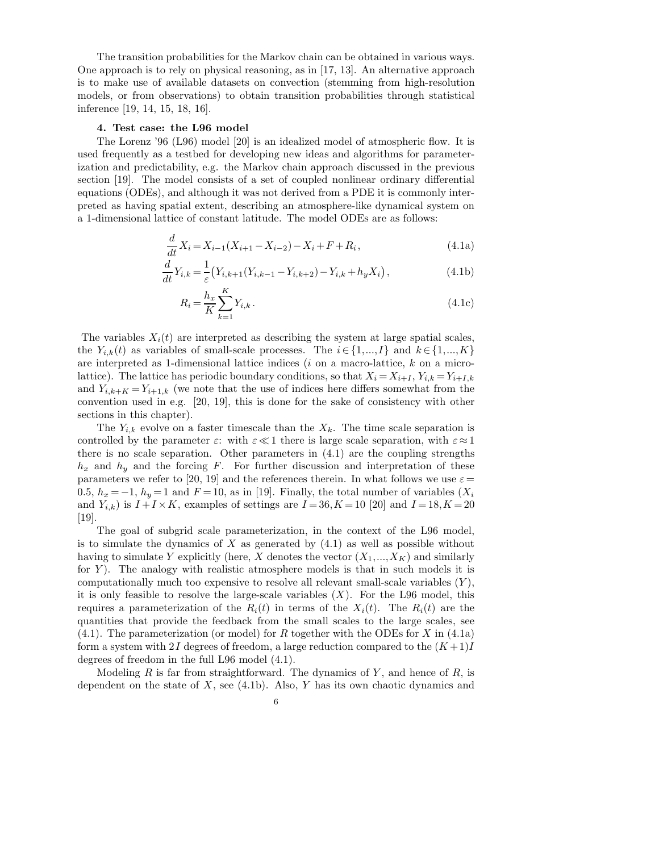The transition probabilities for the Markov chain can be obtained in various ways. One approach is to rely on physical reasoning, as in [17, 13]. An alternative approach is to make use of available datasets on convection (stemming from high-resolution models, or from observations) to obtain transition probabilities through statistical inference [19, 14, 15, 18, 16].

## **4. Test case: the L96 model**

The Lorenz '96 (L96) model [20] is an idealized model of atmospheric flow. It is used frequently as a testbed for developing new ideas and algorithms for parameterization and predictability, e.g. the Markov chain approach discussed in the previous section [19]. The model consists of a set of coupled nonlinear ordinary differential equations (ODEs), and although it was not derived from a PDE it is commonly interpreted as having spatial extent, describing an atmosphere-like dynamical system on a 1-dimensional lattice of constant latitude. The model ODEs are as follows:

$$
\frac{d}{dt}X_i = X_{i-1}(X_{i+1} - X_{i-2}) - X_i + F + R_i,
$$
\n(4.1a)

$$
\frac{d}{dt}Y_{i,k} = \frac{1}{\varepsilon} (Y_{i,k+1}(Y_{i,k-1} - Y_{i,k+2}) - Y_{i,k} + h_y X_i),
$$
\n(4.1b)

$$
R_i = \frac{h_x}{K} \sum_{k=1}^{K} Y_{i,k} \,. \tag{4.1c}
$$

The variables  $X_i(t)$  are interpreted as describing the system at large spatial scales, the  $Y_{i,k}(t)$  as variables of small-scale processes. The  $i \in \{1,...,I\}$  and  $k \in \{1,...,K\}$ are interpreted as 1-dimensional lattice indices  $(i \text{ on a macro-lattice}, k \text{ on a micro-}$ lattice). The lattice has periodic boundary conditions, so that  $X_i = X_{i+1}, Y_{i,k} = Y_{i+1,k}$ and  $Y_{i,k+K} = Y_{i+1,k}$  (we note that the use of indices here differs somewhat from the convention used in e.g. [20, 19], this is done for the sake of consistency with other sections in this chapter).

The  $Y_{i,k}$  evolve on a faster timescale than the  $X_k$ . The time scale separation is controlled by the parameter  $\varepsilon$ : with  $\varepsilon \ll 1$  there is large scale separation, with  $\varepsilon \approx 1$ there is no scale separation. Other parameters in (4.1) are the coupling strengths  $h_x$  and  $h_y$  and the forcing F. For further discussion and interpretation of these parameters we refer to [20, 19] and the references therein. In what follows we use  $\varepsilon$  = 0.5,  $h_x = -1$ ,  $h_y = 1$  and  $F = 10$ , as in [19]. Finally, the total number of variables  $(X_i)$ and  $Y_{i,k}$ ) is  $I + I \times K$ , examples of settings are  $I = 36, K = 10$  [20] and  $I = 18, K = 20$ [19].

The goal of subgrid scale parameterization, in the context of the L96 model, is to simulate the dynamics of  $X$  as generated by  $(4.1)$  as well as possible without having to simulate Y explicitly (here, X denotes the vector  $(X_1,...,X_K)$  and similarly for  $Y$ ). The analogy with realistic atmosphere models is that in such models it is computationally much too expensive to resolve all relevant small-scale variables  $(Y)$ , it is only feasible to resolve the large-scale variables  $(X)$ . For the L96 model, this requires a parameterization of the  $R_i(t)$  in terms of the  $X_i(t)$ . The  $R_i(t)$  are the quantities that provide the feedback from the small scales to the large scales, see  $(4.1)$ . The parameterization (or model) for R together with the ODEs for X in  $(4.1a)$ form a system with 2I degrees of freedom, a large reduction compared to the  $(K+1)I$ degrees of freedom in the full L96 model (4.1).

Modeling R is far from straightforward. The dynamics of Y, and hence of R, is dependent on the state of  $X$ , see (4.1b). Also,  $Y$  has its own chaotic dynamics and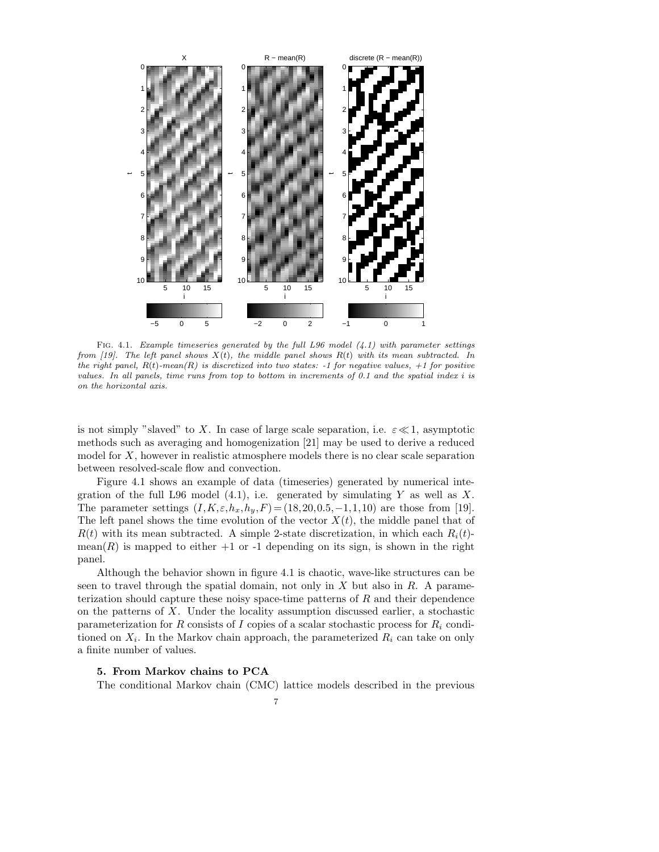

Fig. 4.1. *Example timeseries generated by the full L96 model (4.1) with parameter settings from [19]. The left panel shows X*(*t*)*, the middle panel shows R*(*t*) *with its mean subtracted. In the right panel, R*(*t*)*-mean(R) is discretized into two states: -1 for negative values, +1 for positive values. In all panels, time runs from top to bottom in increments of 0.1 and the spatial index i is on the horizontal axis.*

is not simply "slaved" to X. In case of large scale separation, i.e.  $\varepsilon \ll 1$ , asymptotic methods such as averaging and homogenization [21] may be used to derive a reduced model for  $X$ , however in realistic atmosphere models there is no clear scale separation between resolved-scale flow and convection.

Figure 4.1 shows an example of data (timeseries) generated by numerical integration of the full L96 model  $(4.1)$ , i.e. generated by simulating Y as well as X. The parameter settings  $(I, K, \varepsilon, h_x, h_y, F) = (18, 20, 0.5, -1, 1, 10)$  are those from [19]. The left panel shows the time evolution of the vector  $X(t)$ , the middle panel that of  $R(t)$  with its mean subtracted. A simple 2-state discretization, in which each  $R_i(t)$ mean(R) is mapped to either  $+1$  or  $-1$  depending on its sign, is shown in the right panel.

Although the behavior shown in figure 4.1 is chaotic, wave-like structures can be seen to travel through the spatial domain, not only in  $X$  but also in  $R$ . A parameterization should capture these noisy space-time patterns of  $R$  and their dependence on the patterns of X. Under the locality assumption discussed earlier, a stochastic parameterization for R consists of I copies of a scalar stochastic process for R*<sup>i</sup>* conditioned on  $X_i$ . In the Markov chain approach, the parameterized  $R_i$  can take on only a finite number of values.

#### **5. From Markov chains to PCA**

The conditional Markov chain (CMC) lattice models described in the previous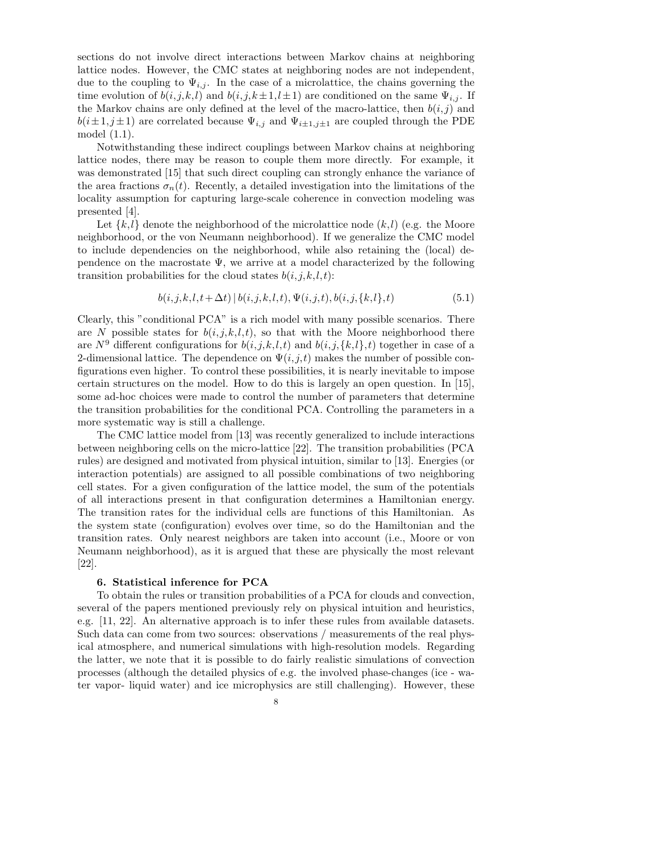sections do not involve direct interactions between Markov chains at neighboring lattice nodes. However, the CMC states at neighboring nodes are not independent, due to the coupling to  $\Psi_{i,j}$ . In the case of a microlattice, the chains governing the time evolution of  $b(i,j,k,l)$  and  $b(i,j,k\pm 1,l\pm 1)$  are conditioned on the same  $\Psi_{i,j}$ . If the Markov chains are only defined at the level of the macro-lattice, then  $b(i,j)$  and  $b(i\pm1,j\pm1)$  are correlated because  $\Psi_{i,j}$  and  $\Psi_{i\pm1,j\pm1}$  are coupled through the PDE model (1.1).

Notwithstanding these indirect couplings between Markov chains at neighboring lattice nodes, there may be reason to couple them more directly. For example, it was demonstrated [15] that such direct coupling can strongly enhance the variance of the area fractions  $\sigma_n(t)$ . Recently, a detailed investigation into the limitations of the locality assumption for capturing large-scale coherence in convection modeling was presented [4].

Let  $\{k, l\}$  denote the neighborhood of the microlattice node  $(k, l)$  (e.g. the Moore neighborhood, or the von Neumann neighborhood). If we generalize the CMC model to include dependencies on the neighborhood, while also retaining the (local) dependence on the macrostate  $\Psi$ , we arrive at a model characterized by the following transition probabilities for the cloud states  $b(i,j,k,l,t)$ :

$$
b(i,j,k,l,t+\Delta t) | b(i,j,k,l,t), \Psi(i,j,t), b(i,j,\{k,l\},t)
$$
\n(5.1)

Clearly, this "conditional PCA" is a rich model with many possible scenarios. There are N possible states for  $b(i,j,k,l,t)$ , so that with the Moore neighborhood there are  $N^9$  different configurations for  $b(i,j,k,l,t)$  and  $b(i,j,\{k,l\},t)$  together in case of a 2-dimensional lattice. The dependence on  $\Psi(i,j,t)$  makes the number of possible configurations even higher. To control these possibilities, it is nearly inevitable to impose certain structures on the model. How to do this is largely an open question. In [15], some ad-hoc choices were made to control the number of parameters that determine the transition probabilities for the conditional PCA. Controlling the parameters in a more systematic way is still a challenge.

The CMC lattice model from [13] was recently generalized to include interactions between neighboring cells on the micro-lattice [22]. The transition probabilities (PCA rules) are designed and motivated from physical intuition, similar to [13]. Energies (or interaction potentials) are assigned to all possible combinations of two neighboring cell states. For a given configuration of the lattice model, the sum of the potentials of all interactions present in that configuration determines a Hamiltonian energy. The transition rates for the individual cells are functions of this Hamiltonian. As the system state (configuration) evolves over time, so do the Hamiltonian and the transition rates. Only nearest neighbors are taken into account (i.e., Moore or von Neumann neighborhood), as it is argued that these are physically the most relevant [22].

### **6. Statistical inference for PCA**

To obtain the rules or transition probabilities of a PCA for clouds and convection, several of the papers mentioned previously rely on physical intuition and heuristics, e.g. [11, 22]. An alternative approach is to infer these rules from available datasets. Such data can come from two sources: observations / measurements of the real physical atmosphere, and numerical simulations with high-resolution models. Regarding the latter, we note that it is possible to do fairly realistic simulations of convection processes (although the detailed physics of e.g. the involved phase-changes (ice - water vapor- liquid water) and ice microphysics are still challenging). However, these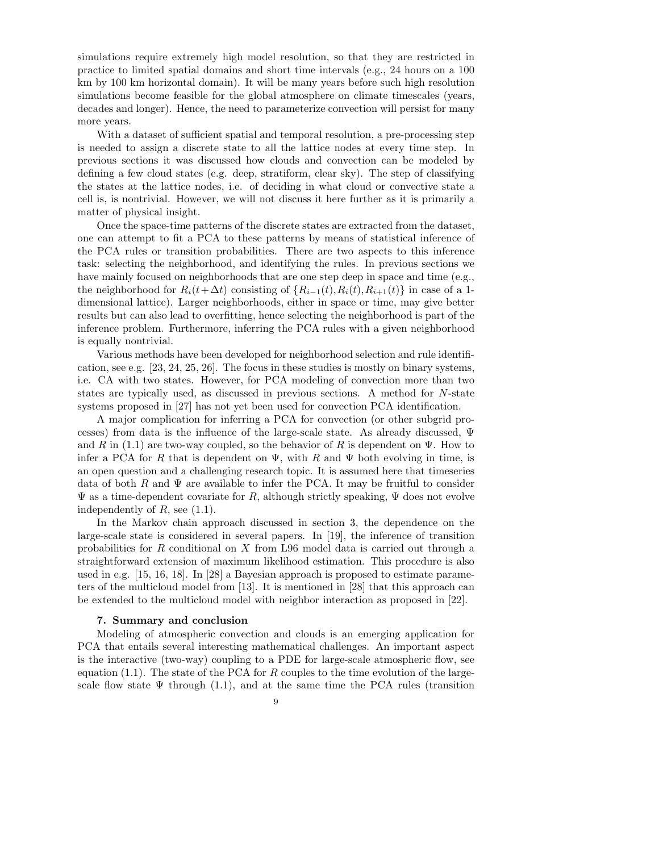simulations require extremely high model resolution, so that they are restricted in practice to limited spatial domains and short time intervals (e.g., 24 hours on a 100 km by 100 km horizontal domain). It will be many years before such high resolution simulations become feasible for the global atmosphere on climate timescales (years, decades and longer). Hence, the need to parameterize convection will persist for many more years.

With a dataset of sufficient spatial and temporal resolution, a pre-processing step is needed to assign a discrete state to all the lattice nodes at every time step. In previous sections it was discussed how clouds and convection can be modeled by defining a few cloud states (e.g. deep, stratiform, clear sky). The step of classifying the states at the lattice nodes, i.e. of deciding in what cloud or convective state a cell is, is nontrivial. However, we will not discuss it here further as it is primarily a matter of physical insight.

Once the space-time patterns of the discrete states are extracted from the dataset, one can attempt to fit a PCA to these patterns by means of statistical inference of the PCA rules or transition probabilities. There are two aspects to this inference task: selecting the neighborhood, and identifying the rules. In previous sections we have mainly focused on neighborhoods that are one step deep in space and time (e.g., the neighborhood for  $R_i(t+\Delta t)$  consisting of  $\{R_{i-1}(t),R_i(t),R_{i+1}(t)\}\$  in case of a 1dimensional lattice). Larger neighborhoods, either in space or time, may give better results but can also lead to overfitting, hence selecting the neighborhood is part of the inference problem. Furthermore, inferring the PCA rules with a given neighborhood is equally nontrivial.

Various methods have been developed for neighborhood selection and rule identification, see e.g. [23, 24, 25, 26]. The focus in these studies is mostly on binary systems, i.e. CA with two states. However, for PCA modeling of convection more than two states are typically used, as discussed in previous sections. A method for N-state systems proposed in [27] has not yet been used for convection PCA identification.

A major complication for inferring a PCA for convection (or other subgrid processes) from data is the influence of the large-scale state. As already discussed, Ψ and R in (1.1) are two-way coupled, so the behavior of R is dependent on  $\Psi$ . How to infer a PCA for R that is dependent on  $\Psi$ , with R and  $\Psi$  both evolving in time, is an open question and a challenging research topic. It is assumed here that timeseries data of both R and  $\Psi$  are available to infer the PCA. It may be fruitful to consider  $\Psi$  as a time-dependent covariate for R, although strictly speaking,  $\Psi$  does not evolve independently of  $R$ , see  $(1.1)$ .

In the Markov chain approach discussed in section 3, the dependence on the large-scale state is considered in several papers. In [19], the inference of transition probabilities for R conditional on X from L96 model data is carried out through a straightforward extension of maximum likelihood estimation. This procedure is also used in e.g. [15, 16, 18]. In [28] a Bayesian approach is proposed to estimate parameters of the multicloud model from [13]. It is mentioned in [28] that this approach can be extended to the multicloud model with neighbor interaction as proposed in [22].

#### **7. Summary and conclusion**

Modeling of atmospheric convection and clouds is an emerging application for PCA that entails several interesting mathematical challenges. An important aspect is the interactive (two-way) coupling to a PDE for large-scale atmospheric flow, see equation  $(1.1)$ . The state of the PCA for R couples to the time evolution of the largescale flow state  $\Psi$  through (1.1), and at the same time the PCA rules (transition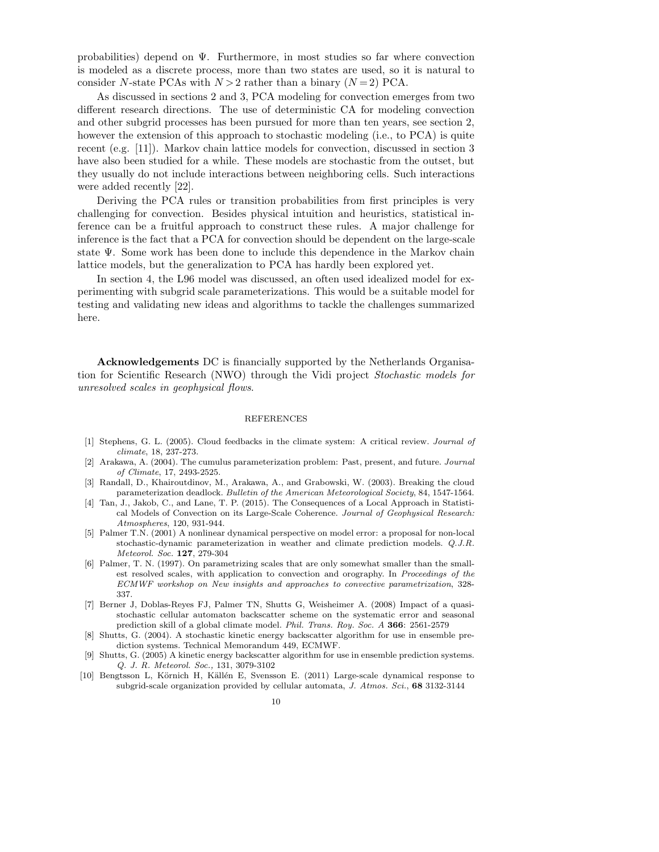probabilities) depend on  $\Psi$ . Furthermore, in most studies so far where convection is modeled as a discrete process, more than two states are used, so it is natural to consider N-state PCAs with  $N > 2$  rather than a binary  $(N = 2)$  PCA.

As discussed in sections 2 and 3, PCA modeling for convection emerges from two different research directions. The use of deterministic CA for modeling convection and other subgrid processes has been pursued for more than ten years, see section 2, however the extension of this approach to stochastic modeling (i.e., to PCA) is quite recent (e.g. [11]). Markov chain lattice models for convection, discussed in section 3 have also been studied for a while. These models are stochastic from the outset, but they usually do not include interactions between neighboring cells. Such interactions were added recently [22].

Deriving the PCA rules or transition probabilities from first principles is very challenging for convection. Besides physical intuition and heuristics, statistical inference can be a fruitful approach to construct these rules. A major challenge for inference is the fact that a PCA for convection should be dependent on the large-scale state Ψ. Some work has been done to include this dependence in the Markov chain lattice models, but the generalization to PCA has hardly been explored yet.

In section 4, the L96 model was discussed, an often used idealized model for experimenting with subgrid scale parameterizations. This would be a suitable model for testing and validating new ideas and algorithms to tackle the challenges summarized here.

**Acknowledgements** DC is financially supported by the Netherlands Organisation for Scientific Research (NWO) through the Vidi project *Stochastic models for unresolved scales in geophysical flows*.

#### REFERENCES

- [1] Stephens, G. L. (2005). Cloud feedbacks in the climate system: A critical review. *Journal of climate*, 18, 237-273.
- [2] Arakawa, A. (2004). The cumulus parameterization problem: Past, present, and future. *Journal of Climate*, 17, 2493-2525.
- [3] Randall, D., Khairoutdinov, M., Arakawa, A., and Grabowski, W. (2003). Breaking the cloud parameterization deadlock. *Bulletin of the American Meteorological Society*, 84, 1547-1564.
- [4] Tan, J., Jakob, C., and Lane, T. P. (2015). The Consequences of a Local Approach in Statistical Models of Convection on its Large-Scale Coherence. *Journal of Geophysical Research: Atmospheres*, 120, 931-944.
- [5] Palmer T.N. (2001) A nonlinear dynamical perspective on model error: a proposal for non-local stochastic-dynamic parameterization in weather and climate prediction models. *Q.J.R. Meteorol. Soc.* **127**, 279-304
- [6] Palmer, T. N. (1997). On parametrizing scales that are only somewhat smaller than the smallest resolved scales, with application to convection and orography. In *Proceedings of the ECMWF workshop on New insights and approaches to convective parametrization*, 328- 337.
- [7] Berner J, Doblas-Reyes FJ, Palmer TN, Shutts G, Weisheimer A. (2008) Impact of a quasistochastic cellular automaton backscatter scheme on the systematic error and seasonal prediction skill of a global climate model. *Phil. Trans. Roy. Soc. A* **366**: 2561-2579
- [8] Shutts, G. (2004). A stochastic kinetic energy backscatter algorithm for use in ensemble prediction systems. Technical Memorandum 449, ECMWF.
- [9] Shutts, G. (2005) A kinetic energy backscatter algorithm for use in ensemble prediction systems. *Q. J. R. Meteorol. Soc.,* 131, 3079-3102
- [10] Bengtsson L, Körnich H, Källén E, Svensson E. (2011) Large-scale dynamical response to subgrid-scale organization provided by cellular automata, *J. Atmos. Sci.*, **68** 3132-3144